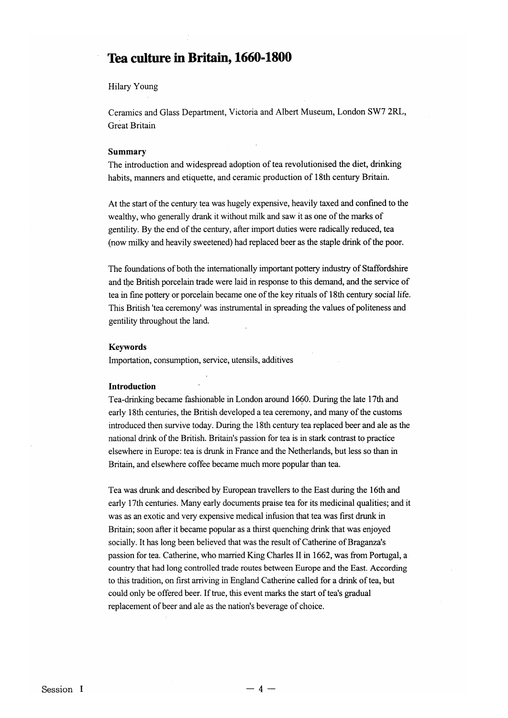# Tea **culture in** Britain, **1660-1800**

# Hilary Young

Ceramics and Glass Department, Victoria and Albert Museum, London SW7 2RL, Great Britain

#### Summary

The introduction and widespread adoption of tea revolutionised the diet, drinking habits, manners and etiquette, and ceramic production of 18th century Britain.

At the start of the century tea was hugely expensive, heavily taxed and confined to the wealthy, who generally drank it without milk and saw it as one of the marks of gentility. By the end of the century, after import duties were radically reduced, tea (now milky and heavily sweetened) had replaced beer as the staple drink of the poor.

The foundations of both the internationally important pottery industry of Staffordshire and the British porcelain trade were laid in response to this demand, and the service of tea in fine pottery or porcelain became one of the key rituals of 18th century social life. This British 'tea ceremony' was instrumental in spreading the values of politeness and gentility throughout the land.

## Keywords

Importation, consumption, service, utensils, additives

#### Introduction

Tea-Qrinking became fashionable in London around 1690. During the late 17th and early 18th centuries, the British developed a tea ceremony, and many of the customs introduced then survive today. During the 18th century tea replaced beer and ale as the national drink of the British. Britain's passion for tea is in stark contrast to practice elsewhere in Europe: tea is drunk in France and the Netherlands, but less so than in Britain, and elsewhere coffee became much more popular than tea.

Tea was drunk and described by European travellers to the East during the 16th and early 17th centuries. Many early documents praise tea for its medicinal qualities; and it was as an exotic and very expensive medical infusion that tea was first drunk in Britain; soon after it became popular as a thirst quenching drink that was enjoyed socially. It has long been believed that was the result of Catherine of Braganza's passion for tea. Catherine, who married King Charles II in 1662, was from Portugal, a country that had long controlled trade routes between Europe and the East. According to this tradition, on first arriving in England Catherine called for a drink of tea, but could only be offered beer. If true, this event marks the start of tea's gradual replacement of beer and ale as the nation's beverage of choice.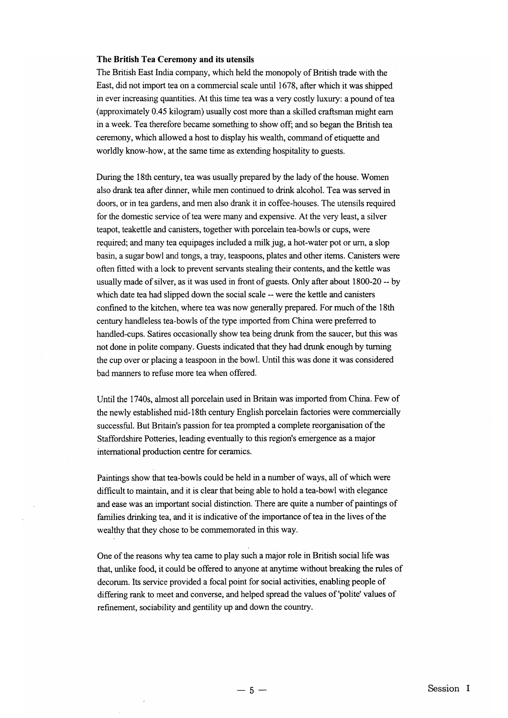### The British Tea Ceremony and its utensils

The British East India company, which held the monopoly of British trade with the East, did not import tea on a commercial scale until 1678, after which it was shipped in ever increasing quantities. At this time tea was a very costly luxury: a pound oftea (approximately 0.45 kilogram) usually cost more than a skilled craftsman might earn in a week. Tea therefore became something to show off; and so began the British tea ceremony, which allowed a host to display his wealth, command of etiquette and worldly know-how, at the same time as extending hospitality to guests.

During the 18th century, tea was usually prepared by the lady of the house. Women also drank tea after dinner, while men continued to drink alcohol. Tea was served in doors, or in tea gardens, and men also drank it in coffee-houses. The utensils required for the domestic service of tea were many and expensive. At the very least, a silver teapot, teakettle and canisters, together with porcelain tea-bowls or cups, were required; and many tea equipages included a milk jug, a hot-water pot or urn, a slop basin, a sugar bowl and tongs, a tray, teaspoons, plates and other items. Canisters were often fitted with a lock to prevent servants stealing their contents, and the kettle was usually made of silver, as it was used in front of guests. Only after about 1800-20 -- by which date tea had slipped down the social scale -- were the kettle and canisters confined to the kitchen, where tea was now generally prepared. For much of the 18th century handleless tea-bowls of the type imported from China were preferred to handled-cups. Satires occasionally show tea being drunk from the saucer, but this was not done in polite company. Guests indicated that they had drunk enough by turning the cup over or placing a teaspoon in the bowl. Until this was done it was considered bad manners to refuse more tea when offered.

Until the 1740s, almost all porcelain used in Britain was imported from China. Few of the newly established mid-18th century English porcelain factories were commercially successful. But Britain's passion for tea prompted a complete reorganisation of the Staffordshire Potteries, leading eventually to this region's emergence as a major international production centre for ceramics.

Paintings show that tea-bowls could be held in a number of ways, all of which were difficult to maintain, and it is clear that being able to hold a tea-bowl with elegance and ease was an important social distinction. There are quite a number of paintings of families drinking tea, and it is indicative of the importance of tea in the lives of the wealthy that they chose to be commemorated in this way.

One of the reasons why tea came to play such a major role in British social life was that, unlike food, it could be offered to anyone at anytime without breaking the rules of decorum. Its service provided a focal point for social activities, enabling people of differing rank to meet and converse, and helped spread the values of'polite' values of refinement, sociability and gentility up and down the country.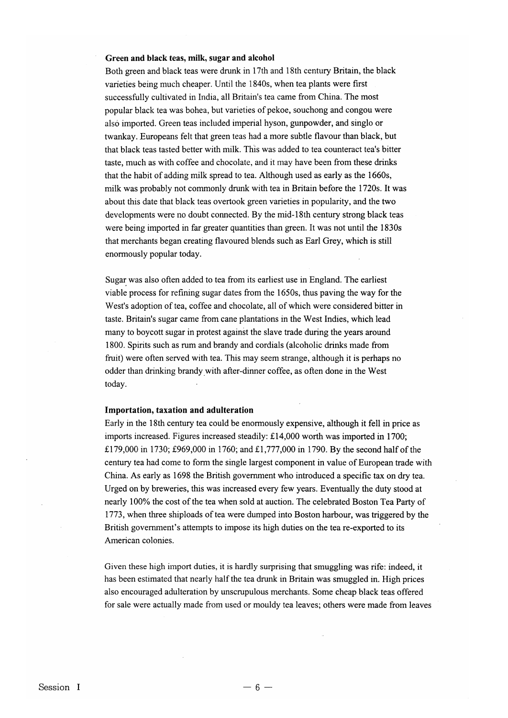#### Green and black teas, milk, sugar and alcohol

Both green and black teas were drunk in 17th and 18th century Britain, the black varieties being much cheaper. Until the 1840s, when tea plants were first successfully cultivated in India, all Britain's tea came from China. The most popular black tea was bohea, but varieties of pekoe, souchong and congou were also imported. Green teas included imperial hyson, gunpowder, and singlo or twankay. Europeans felt that green teas had a more subtle flavour than black, but that black teas tasted better with milk. This was added to tea counteract tea's bitter taste, much as with coffee and chocolate, and it may have been from these drinks that the habit of adding milk spread to tea. Although used as early as the 1660s, milk was probably not commonly drunk with tea in Britain before the 1720s. It was about this date that black teas overtook green varieties in popularity, and the two developments were no doubt connected. By the mid-18th century strong black teas were being imported in far greater quantities than green. It was not until the 1830s that merchants began creating flavoured blends such as Earl Grey, which is still enormously popular today.

Sugar was also often added to tea from its earliest use in England. The earliest viable process for refining sugar dates from the 1650s, thus paving the way for the West's adoption of tea, coffee and chocolate, all of which were considered bitter in taste. Britain's sugar came from cane plantations in the West Indies, which lead many to boycott sugar in protest against the slave trade during the years around 1800. Spirits such as rum and brandy and cordials (alcoholic drinks made from fruit) were often served with tea. This may seem strange, although it is perhaps no odder than drinking brandy.with after-dinner coffee, as often done in the West today.

## Importation, taxation and adulteration

Early in the 18th century tea could be enormously expensive, although it fell in price as imports increased. Figures increased steadily: £14,000 worth was imported in 1700; £179,000 in 1730; £969,000 in 1760; and £1,777,000 in 1790. By the second half ofthe century tea had come to form the single largest component in value of European trade with China. As early as 1698 the British government who introduced a specific tax on dry tea. Urged on by breweries, this was increased every few years. Eventually the duty stood at nearly 100% the cost of the tea when sold at auction. The celebrated Boston Tea Party of 1773, when three shiploads oftea were dumped into Boston harbour, was triggered by the British government's attempts to impose its high duties on the tea re-exported to its American colonies.

Given these high import duties, it is hardly surprising that smuggling was rife: indeed, it has been estimated that nearly half the tea drunk in Britain was smuggled in. High prices also encouraged adulteration by unscrupulous merchants. Some cheap black teas offered for sale were actually made from used or mouldy tea leaves; others were made from leaves

 $-6-$